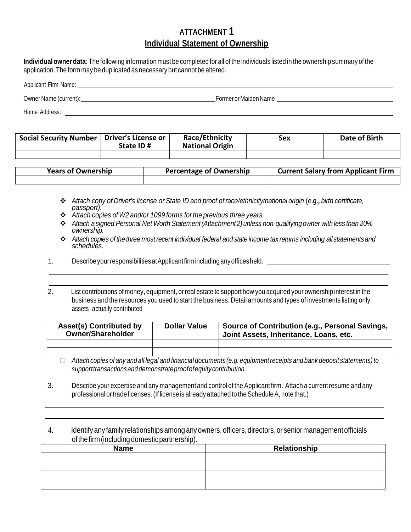## **ATTACHMENT 1 Individual Statement of Ownership**

**Individual owner data**: The following information must be completed for all of the individuals listed in the ownership summary of the application.The form may be duplicated as necessary but cannot be altered.

## Applicant Firm Name: Owner Name (current): FormerorMaidenName

Home Address: \_\_\_\_

| <b>Social Security Number</b> | Driver's License or<br>State ID# | Race/Ethnicity<br><b>National Origin</b> | Sex | Date of Birth |
|-------------------------------|----------------------------------|------------------------------------------|-----|---------------|
|                               |                                  |                                          |     |               |

| <b>Years of Ownership</b> | Percentage of Ownership | <b>Current Salary from Applicant Firm</b> |
|---------------------------|-------------------------|-------------------------------------------|
|                           |                         |                                           |

- *Attach copy of Driver's license or State ID and proof of race/ethnicity/national origin* (e.g., *birth certificate, passport).*
- *Attach copies of W2 and/or 1099 forms forthe previous three years.*
- *Attach asigned Personal Net Worth Statement(Attachment2) unless non-qualifyingowner with less than 20% ownership.*
- *Attach copies of the three most recent individual federal and state income tax returns including all statementsand schedules.*
- 1. DescribeyourresponsibilitiesatApplicantfirmincludinganyofficesheld.
- 2. List contributions of money, equipment, or real estate to support how you acquired your ownership interest in the business and the resources you used to start the business. Detail amounts and types of investments listing only assets actually contributed

| <b>Asset(s) Contributed by</b><br><b>Owner/Shareholder</b> | <b>Dollar Value</b> | Source of Contribution (e.g., Personal Savings,<br>Joint Assets, Inheritance, Loans, etc. |  |
|------------------------------------------------------------|---------------------|-------------------------------------------------------------------------------------------|--|
|                                                            |                     |                                                                                           |  |
|                                                            |                     |                                                                                           |  |

- Attach copies of any and all legal and financial documents (e.g. equipment receipts and bank deposit statements) to *supporttransactionsanddemonstrateproofofequitycontribution.*
- 3. Describe your expertise and any managementand control of the Applicant firm. Attach a currentresume and any professional or trade licenses. (If license is already attached to the Schedule A, note that.)
- 4. Identify any family relationships among any owners,officers,directors,or senior managementofficials ofthefirm(including domesticpartnership).

| <b>Name</b> | Relationship |  |  |
|-------------|--------------|--|--|
|             |              |  |  |
|             |              |  |  |
|             |              |  |  |
|             |              |  |  |